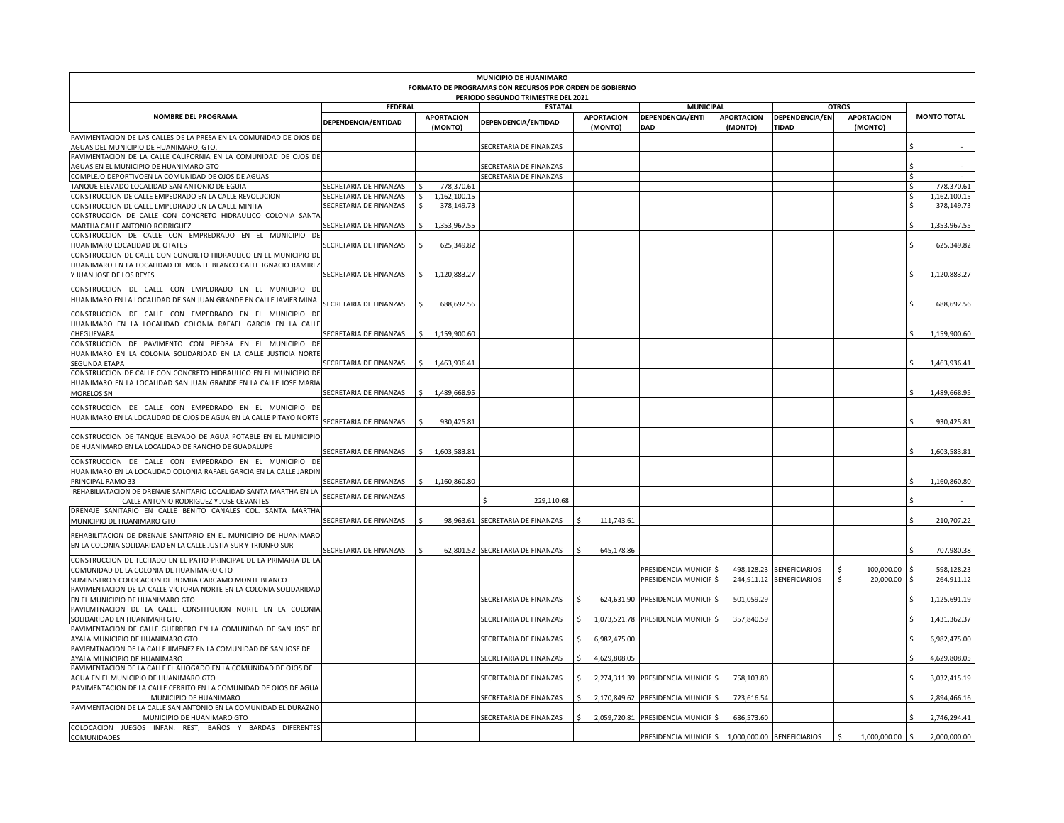|                                                                                                                                                                 |                        |                              | MUNICIPIO DE HUANIMARO                                  |                              |                                                   |                              |                                                      |                               |                               |
|-----------------------------------------------------------------------------------------------------------------------------------------------------------------|------------------------|------------------------------|---------------------------------------------------------|------------------------------|---------------------------------------------------|------------------------------|------------------------------------------------------|-------------------------------|-------------------------------|
|                                                                                                                                                                 |                        |                              | FORMATO DE PROGRAMAS CON RECURSOS POR ORDEN DE GOBIERNO |                              |                                                   |                              |                                                      |                               |                               |
|                                                                                                                                                                 | <b>FEDERAL</b>         |                              | PERIODO SEGUNDO TRIMESTRE DEL 2021<br><b>ESTATAL</b>    |                              | <b>MUNICIPAL</b>                                  |                              | <b>OTROS</b>                                         |                               |                               |
| <b>NOMBRE DEL PROGRAMA</b>                                                                                                                                      | DEPENDENCIA/ENTIDAD    | <b>APORTACION</b><br>(MONTO) | DEPENDENCIA/ENTIDAD                                     | <b>APORTACION</b><br>(MONTO) | DEPENDENCIA/ENTI<br>DAD                           | <b>APORTACION</b><br>(MONTO) | DEPENDENCIA/EN<br><b>TIDAD</b>                       | <b>APORTACION</b><br>(MONTO)  | <b>MONTO TOTAL</b>            |
| PAVIMENTACION DE LAS CALLES DE LA PRESA EN LA COMUNIDAD DE OJOS DE<br>AGUAS DEL MUNICIPIO DE HUANIMARO, GTO.                                                    |                        |                              | SECRETARIA DE FINANZAS                                  |                              |                                                   |                              |                                                      |                               |                               |
| PAVIMENTACION DE LA CALLE CALIFORNIA EN LA COMUNIDAD DE OJOS DE                                                                                                 |                        |                              |                                                         |                              |                                                   |                              |                                                      |                               |                               |
| AGUAS EN EL MUNICIPIO DE HUANIMARO GTO                                                                                                                          |                        |                              | SECRETARIA DE FINANZAS                                  |                              |                                                   |                              |                                                      |                               |                               |
| COMPLEJO DEPORTIVOEN LA COMUNIDAD DE OJOS DE AGUAS                                                                                                              | SECRETARIA DE FINANZAS | 778,370.61                   | SECRETARIA DE FINANZAS                                  |                              |                                                   |                              |                                                      |                               | Ŝ.<br>Ŝ.<br>778,370.61        |
| TANQUE ELEVADO LOCALIDAD SAN ANTONIO DE EGUIA<br>CONSTRUCCION DE CALLE EMPEDRADO EN LA CALLE REVOLUCION                                                         | SECRETARIA DE FINANZAS | $\mathsf{S}$<br>1,162,100.15 |                                                         |                              |                                                   |                              |                                                      |                               | Ŝ.<br>1,162,100.15            |
| CONSTRUCCION DE CALLE EMPEDRADO EN LA CALLE MINITA                                                                                                              | SECRETARIA DE FINANZAS | 378,149.73<br>-S             |                                                         |                              |                                                   |                              |                                                      |                               | \$<br>378,149.73              |
| CONSTRUCCION DE CALLE CON CONCRETO HIDRAULICO COLONIA SANTA                                                                                                     |                        |                              |                                                         |                              |                                                   |                              |                                                      |                               |                               |
| MARTHA CALLE ANTONIO RODRIGUEZ                                                                                                                                  | SECRETARIA DE FINANZAS | 1,353,967.55<br>Ŝ.           |                                                         |                              |                                                   |                              |                                                      |                               | \$<br>1,353,967.55            |
| CONSTRUCCION DE CALLE CON EMPREDRADO EN EL MUNICIPIO DE                                                                                                         |                        |                              |                                                         |                              |                                                   |                              |                                                      |                               |                               |
| HUANIMARO LOCALIDAD DE OTATES                                                                                                                                   | SECRETARIA DE FINANZAS | 625,349.82                   |                                                         |                              |                                                   |                              |                                                      |                               | 625,349.82                    |
| CONSTRUCCION DE CALLE CON CONCRETO HIDRAULICO EN EL MUNICIPIO DE<br>HUANIMARO EN LA LOCALIDAD DE MONTE BLANCO CALLE IGNACIO RAMIREZ<br>Y JUAN JOSE DE LOS REYES | SECRETARIA DE FINANZAS | \$1,120,883.27               |                                                         |                              |                                                   |                              |                                                      |                               | 1,120,883.27                  |
| CONSTRUCCION DE CALLE CON EMPEDRADO EN EL MUNICIPIO DE                                                                                                          |                        |                              |                                                         |                              |                                                   |                              |                                                      |                               |                               |
| HUANIMARO EN LA LOCALIDAD DE SAN JUAN GRANDE EN CALLE JAVIER MINA                                                                                               |                        |                              |                                                         |                              |                                                   |                              |                                                      |                               |                               |
|                                                                                                                                                                 | SECRETARIA DE FINANZAS | 688,692.56                   |                                                         |                              |                                                   |                              |                                                      |                               | 688,692.56                    |
| CONSTRUCCION DE CALLE CON EMPEDRADO EN EL MUNICIPIO DE                                                                                                          |                        |                              |                                                         |                              |                                                   |                              |                                                      |                               |                               |
| HUANIMARO EN LA LOCALIDAD COLONIA RAFAEL GARCIA EN LA CALLE                                                                                                     |                        |                              |                                                         |                              |                                                   |                              |                                                      |                               |                               |
| CHEGUEVARA<br>CONSTRUCCION DE PAVIMENTO CON PIEDRA EN EL MUNICIPIO DE                                                                                           | SECRETARIA DE FINANZAS | \$1,159,900.60               |                                                         |                              |                                                   |                              |                                                      |                               | 1,159,900.60                  |
| HUANIMARO EN LA COLONIA SOLIDARIDAD EN LA CALLE JUSTICIA NORTE                                                                                                  |                        |                              |                                                         |                              |                                                   |                              |                                                      |                               |                               |
| SEGUNDA ETAPA                                                                                                                                                   | SECRETARIA DE FINANZAS | \$1,463,936.41               |                                                         |                              |                                                   |                              |                                                      |                               | 1,463,936.41                  |
| CONSTRUCCION DE CALLE CON CONCRETO HIDRAULICO EN EL MUNICIPIO DE                                                                                                |                        |                              |                                                         |                              |                                                   |                              |                                                      |                               |                               |
| HUANIMARO EN LA LOCALIDAD SAN JUAN GRANDE EN LA CALLE JOSE MARIA                                                                                                |                        |                              |                                                         |                              |                                                   |                              |                                                      |                               |                               |
| MORELOS SN                                                                                                                                                      | SECRETARIA DE FINANZAS | \$1,489,668.95               |                                                         |                              |                                                   |                              |                                                      |                               | 1,489,668.95<br>Ś.            |
| CONSTRUCCION DE CALLE CON EMPEDRADO EN EL MUNICIPIO DE                                                                                                          |                        |                              |                                                         |                              |                                                   |                              |                                                      |                               |                               |
| HUANIMARO EN LA LOCALIDAD DE OJOS DE AGUA EN LA CALLE PITAYO NORTE                                                                                              |                        |                              |                                                         |                              |                                                   |                              |                                                      |                               |                               |
|                                                                                                                                                                 | SECRETARIA DE FINANZAS | \$<br>930,425.81             |                                                         |                              |                                                   |                              |                                                      |                               | Ś<br>930,425.81               |
| CONSTRUCCION DE TANQUE ELEVADO DE AGUA POTABLE EN EL MUNICIPIO                                                                                                  |                        |                              |                                                         |                              |                                                   |                              |                                                      |                               |                               |
| DE HUANIMARO EN LA LOCALIDAD DE RANCHO DE GUADALUPE                                                                                                             |                        |                              |                                                         |                              |                                                   |                              |                                                      |                               |                               |
|                                                                                                                                                                 | SECRETARIA DE FINANZAS | \$1,603,583.81               |                                                         |                              |                                                   |                              |                                                      |                               | 1,603,583.81                  |
| CONSTRUCCION DE CALLE CON EMPEDRADO EN EL MUNICIPIO DE                                                                                                          |                        |                              |                                                         |                              |                                                   |                              |                                                      |                               |                               |
| HUANIMARO EN LA LOCALIDAD COLONIA RAFAEL GARCIA EN LA CALLE JARDIN<br>PRINCIPAL RAMO 33                                                                         |                        | \$1,160,860.80               |                                                         |                              |                                                   |                              |                                                      |                               | 1,160,860.80                  |
| REHABILIATACION DE DRENAJE SANITARIO LOCALIDAD SANTA MARTHA EN LA                                                                                               | SECRETARIA DE FINANZAS |                              |                                                         |                              |                                                   |                              |                                                      |                               |                               |
| CALLE ANTONIO RODRIGUEZ Y JOSE CEVANTES                                                                                                                         | SECRETARIA DE FINANZAS |                              | 229,110.68                                              |                              |                                                   |                              |                                                      |                               |                               |
| DRENAJE SANITARIO EN CALLE BENITO CANALES COL. SANTA MARTHA                                                                                                     |                        |                              |                                                         |                              |                                                   |                              |                                                      |                               |                               |
| MUNICIPIO DE HUANIMARO GTO                                                                                                                                      | SECRETARIA DE FINANZAS |                              | 98,963.61 SECRETARIA DE FINANZAS                        | 111,743.61                   |                                                   |                              |                                                      |                               | 210,707.22                    |
|                                                                                                                                                                 |                        |                              |                                                         |                              |                                                   |                              |                                                      |                               |                               |
| REHABILITACION DE DRENAJE SANITARIO EN EL MUNICIPIO DE HUANIMARO<br>EN LA COLONIA SOLIDARIDAD EN LA CALLE JUSTIA SUR Y TRIUNFO SUR                              |                        |                              |                                                         |                              |                                                   |                              |                                                      |                               |                               |
|                                                                                                                                                                 | SECRETARIA DE FINANZAS |                              | 62,801.52 SECRETARIA DE FINANZAS                        | 645,178.86<br>Ŝ.             |                                                   |                              |                                                      |                               | 707,980.38                    |
| CONSTRUCCION DE TECHADO EN EL PATIO PRINCIPAL DE LA PRIMARIA DE LA                                                                                              |                        |                              |                                                         |                              |                                                   |                              |                                                      |                               |                               |
| COMUNIDAD DE LA COLONIA DE HUANIMARO GTO<br>SUMINISTRO Y COLOCACION DE BOMBA CARCAMO MONTE BLANCO                                                               |                        |                              |                                                         |                              | PRESIDENCIA MUNICIF \$<br>PRESIDENCIA MUNICIF \$  |                              | 498,128.23 BENEFICIARIOS<br>244,911.12 BENEFICIARIOS | 100,000.00<br>20,000.00<br>Ŝ. | 598,128.23<br>264,911.12<br>Ś |
| PAVIMENTACION DE LA CALLE VICTORIA NORTE EN LA COLONIA SOLIDARIDAD                                                                                              |                        |                              |                                                         |                              |                                                   |                              |                                                      |                               |                               |
| EN EL MUNICIPIO DE HUANIMARO GTO                                                                                                                                |                        |                              | SECRETARIA DE FINANZAS                                  |                              | 624,631.90 PRESIDENCIA MUNICIP                    | 501,059.29                   |                                                      |                               | 1,125,691.19                  |
| PAVIEMTNACION DE LA CALLE CONSTITUCION NORTE EN LA COLONIA                                                                                                      |                        |                              |                                                         |                              |                                                   |                              |                                                      |                               |                               |
| SOLIDARIDAD EN HUANIMARI GTO.                                                                                                                                   |                        |                              | SECRETARIA DE FINANZAS                                  | \$                           | 1,073,521.78 PRESIDENCIA MUNICIF \$               | 357,840.59                   |                                                      |                               | \$<br>1,431,362.37            |
| PAVIMENTACION DE CALLE GUERRERO EN LA COMUNIDAD DE SAN JOSE DE                                                                                                  |                        |                              |                                                         |                              |                                                   |                              |                                                      |                               |                               |
| AYALA MUNICIPIO DE HUANIMARO GTO                                                                                                                                |                        |                              | SECRETARIA DE FINANZAS                                  | \$<br>6,982,475.00           |                                                   |                              |                                                      |                               | Ŝ.<br>6,982,475.00            |
| PAVIEMTNACION DE LA CALLE JIMENEZ EN LA COMUNIDAD DE SAN JOSE DE                                                                                                |                        |                              |                                                         |                              |                                                   |                              |                                                      |                               |                               |
| AYALA MUNICIPIO DE HUANIMARO                                                                                                                                    |                        |                              | SECRETARIA DE FINANZAS                                  | Ŝ.<br>4,629,808.05           |                                                   |                              |                                                      |                               | 4,629,808.05                  |
| PAVIMENTACION DE LA CALLE EL AHOGADO EN LA COMUNIDAD DE OJOS DE                                                                                                 |                        |                              |                                                         |                              |                                                   |                              |                                                      |                               |                               |
| AGUA EN EL MUNICIPIO DE HUANIMARO GTO                                                                                                                           |                        |                              | SECRETARIA DE FINANZAS                                  | \$.                          | 2,274,311.39 PRESIDENCIA MUNICIF \$               | 758,103.80                   |                                                      |                               | 3,032,415.19                  |
| PAVIMENTACION DE LA CALLE CERRITO EN LA COMUNIDAD DE OJOS DE AGUA                                                                                               |                        |                              |                                                         |                              |                                                   |                              |                                                      |                               | 2,894,466.16                  |
| MUNICIPIO DE HUANIMARO<br>PAVIMENTACION DE LA CALLE SAN ANTONIO EN LA COMUNIDAD EL DURAZNO                                                                      |                        |                              | SECRETARIA DE FINANZAS                                  | \$                           | 2,170,849.62 PRESIDENCIA MUNICIF \$               | 723,616.54                   |                                                      |                               |                               |
| MUNICIPIO DE HUANIMARO GTO                                                                                                                                      |                        |                              | SECRETARIA DE FINANZAS                                  |                              | \$2,059,720.81 PRESIDENCIA MUNICII \$             | 686,573.60                   |                                                      |                               | 2,746,294.41                  |
| COLOCACION JUEGOS INFAN. REST, BAÑOS Y BARDAS DIFERENTES                                                                                                        |                        |                              |                                                         |                              |                                                   |                              |                                                      |                               |                               |
| COMUNIDADES                                                                                                                                                     |                        |                              |                                                         |                              | PRESIDENCIA MUNICII \$ 1,000,000.00 BENEFICIARIOS |                              |                                                      | 1,000,000.00                  | \$<br>2,000,000.00            |
|                                                                                                                                                                 |                        |                              |                                                         |                              |                                                   |                              |                                                      |                               |                               |